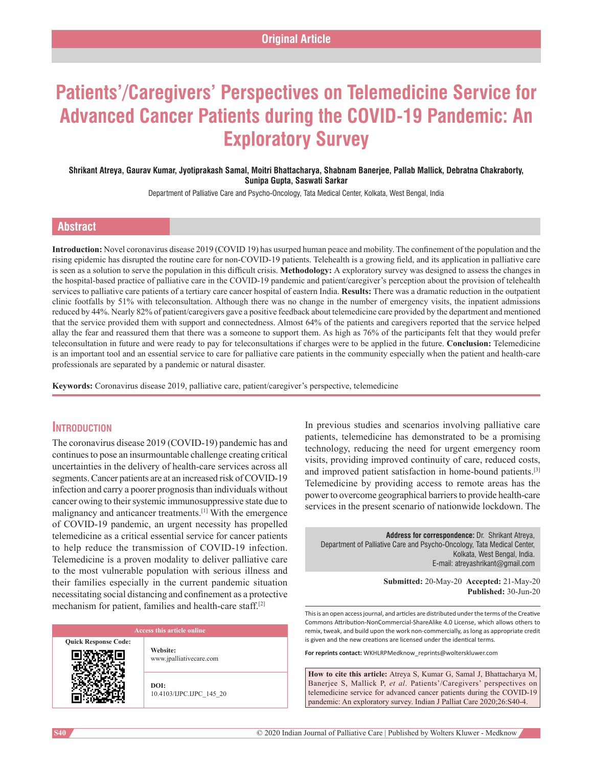# **Patients'/Caregivers' Perspectives on Telemedicine Service for Advanced Cancer Patients during the COVID‑19 Pandemic: An Exploratory Survey**

### **Shrikant Atreya, Gaurav Kumar, Jyotiprakash Samal, Moitri Bhattacharya, Shabnam Banerjee, Pallab Mallick, Debratna Chakraborty, Sunipa Gupta, Saswati Sarkar**

Department of Palliative Care and Psycho-Oncology, Tata Medical Center, Kolkata, West Bengal, India

# **Abstract**

**Introduction:** Novel coronavirus disease 2019 (COVID 19) has usurped human peace and mobility. The confinement of the population and the rising epidemic has disrupted the routine care for non-COVID-19 patients. Telehealth is a growing field, and its application in palliative care is seen as a solution to serve the population in this difficult crisis. **Methodology:** A exploratory survey was designed to assess the changes in the hospital-based practice of palliative care in the COVID-19 pandemic and patient/caregiver's perception about the provision of telehealth services to palliative care patients of a tertiary care cancer hospital of eastern India. **Results:** There was a dramatic reduction in the outpatient clinic footfalls by 51% with teleconsultation. Although there was no change in the number of emergency visits, the inpatient admissions reduced by 44%. Nearly 82% of patient/caregivers gave a positive feedback about telemedicine care provided by the department and mentioned that the service provided them with support and connectedness. Almost 64% of the patients and caregivers reported that the service helped allay the fear and reassured them that there was a someone to support them. As high as 76% of the participants felt that they would prefer teleconsultation in future and were ready to pay for teleconsultations if charges were to be applied in the future. **Conclusion:** Telemedicine is an important tool and an essential service to care for palliative care patients in the community especially when the patient and health-care professionals are separated by a pandemic or natural disaster.

**Keywords:** Coronavirus disease 2019, palliative care, patient/caregiver's perspective, telemedicine

# **Introduction**

The coronavirus disease 2019 (COVID-19) pandemic has and continues to pose an insurmountable challenge creating critical uncertainties in the delivery of health-care services across all segments. Cancer patients are at an increased risk of COVID-19 infection and carry a poorer prognosis than individuals without cancer owing to their systemic immunosuppressive state due to malignancy and anticancer treatments.[1] With the emergence of COVID‑19 pandemic, an urgent necessity has propelled telemedicine as a critical essential service for cancer patients to help reduce the transmission of COVID-19 infection. Telemedicine is a proven modality to deliver palliative care to the most vulnerable population with serious illness and their families especially in the current pandemic situation necessitating social distancing and confinement as a protective mechanism for patient, families and health-care staff.<sup>[2]</sup>

**Quick Response Code:**

**Website:** www.jpalliativecare.com

**DOI:** 10.4103/IJPC.IJPC\_145\_20 In previous studies and scenarios involving palliative care patients, telemedicine has demonstrated to be a promising technology, reducing the need for urgent emergency room visits, providing improved continuity of care, reduced costs, and improved patient satisfaction in home-bound patients.<sup>[3]</sup> Telemedicine by providing access to remote areas has the power to overcome geographical barriers to provide health-care services in the present scenario of nationwide lockdown. The

**Address for correspondence:** Dr. Shrikant Atreya, Department of Palliative Care and Psycho-Oncology, Tata Medical Center, Kolkata, West Bengal, India. E‑mail: atreyashrikant@gmail.com

> **Submitted:** 20-May-20 **Accepted:** 21-May-20 **Published:** 30-Jun-20

This is an open access journal, and articles are distributed under the terms of the Creative Commons Attribution‑NonCommercial‑ShareAlike 4.0 License, which allows others to remix, tweak, and build upon the work non‑commercially, as long as appropriate credit is given and the new creations are licensed under the identical terms.

**For reprints contact:** WKHLRPMedknow\_reprints@wolterskluwer.com

**How to cite this article:** Atreya S, Kumar G, Samal J, Bhattacharya M, Banerjee S, Mallick P, *et al*. Patients'/Caregivers' perspectives on telemedicine service for advanced cancer patients during the COVID-19 pandemic: An exploratory survey. Indian J Palliat Care 2020;26:S40-4.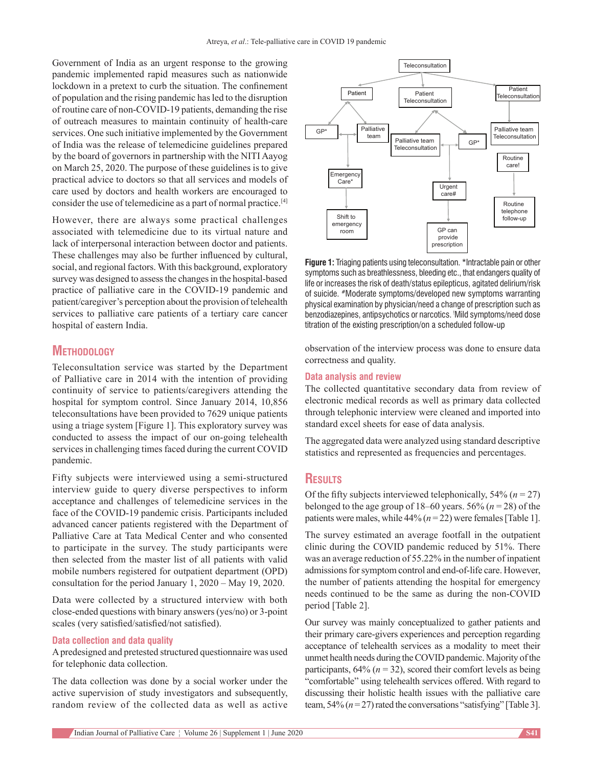Government of India as an urgent response to the growing pandemic implemented rapid measures such as nationwide lockdown in a pretext to curb the situation. The confinement of population and the rising pandemic has led to the disruption of routine care of non‑COVID‑19 patients, demanding the rise of outreach measures to maintain continuity of health-care services. One such initiative implemented by the Government of India was the release of telemedicine guidelines prepared by the board of governors in partnership with the NITI Aayog on March 25, 2020. The purpose of these guidelines is to give practical advice to doctors so that all services and models of care used by doctors and health workers are encouraged to consider the use of telemedicine as a part of normal practice.[4]

However, there are always some practical challenges associated with telemedicine due to its virtual nature and lack of interpersonal interaction between doctor and patients. These challenges may also be further influenced by cultural, social, and regional factors. With this background, exploratory survey was designed to assess the changes in the hospital-based practice of palliative care in the COVID-19 pandemic and patient/caregiver's perception about the provision of telehealth services to palliative care patients of a tertiary care cancer hospital of eastern India.

# **Methodology**

Teleconsultation service was started by the Department of Palliative care in 2014 with the intention of providing continuity of service to patients/caregivers attending the hospital for symptom control. Since January 2014, 10,856 teleconsultations have been provided to 7629 unique patients using a triage system [Figure 1]. This exploratory survey was conducted to assess the impact of our on‑going telehealth services in challenging times faced during the current COVID pandemic.

Fifty subjects were interviewed using a semi‑structured interview guide to query diverse perspectives to inform acceptance and challenges of telemedicine services in the face of the COVID-19 pandemic crisis. Participants included advanced cancer patients registered with the Department of Palliative Care at Tata Medical Center and who consented to participate in the survey. The study participants were then selected from the master list of all patients with valid mobile numbers registered for outpatient department (OPD) consultation for the period January 1, 2020 – May 19, 2020.

Data were collected by a structured interview with both close‑ended questions with binary answers(yes/no) or 3‑point scales (very satisfied/satisfied/not satisfied).

#### **Data collection and data quality**

A predesigned and pretested structured questionnaire was used for telephonic data collection.

The data collection was done by a social worker under the active supervision of study investigators and subsequently, random review of the collected data as well as active



**Figure 1:** Triaging patients using teleconsultation. \*Intractable pain or other symptoms such as breathlessness, bleeding etc., that endangers quality of life or increases the risk of death/status epilepticus, agitated delirium/risk of suicide. #Moderate symptoms/developed new symptoms warranting physical examination by physician/need a change of prescription such as benzodiazepines, antipsychotics or narcotics. ! Mild symptoms/need dose titration of the existing prescription/on a scheduled follow-up

observation of the interview process was done to ensure data correctness and quality.

# **Data analysis and review**

The collected quantitative secondary data from review of electronic medical records as well as primary data collected through telephonic interview were cleaned and imported into standard excel sheets for ease of data analysis.

The aggregated data were analyzed using standard descriptive statistics and represented as frequencies and percentages.

# **Results**

Of the fifty subjects interviewed telephonically,  $54\%$  ( $n = 27$ ) belonged to the age group of  $18-60$  years.  $56\%$  ( $n = 28$ ) of the patients were males, while  $44\%$  ( $n = 22$ ) were females [Table 1].

The survey estimated an average footfall in the outpatient clinic during the COVID pandemic reduced by 51%. There was an average reduction of 55.22% in the number of inpatient admissions for symptom control and end‑of‑life care. However, the number of patients attending the hospital for emergency needs continued to be the same as during the non‑COVID period [Table 2].

Our survey was mainly conceptualized to gather patients and their primary care‑givers experiences and perception regarding acceptance of telehealth services as a modality to meet their unmet health needs during the COVID pandemic. Majority of the participants,  $64\%$  ( $n = 32$ ), scored their comfort levels as being "comfortable" using telehealth services offered. With regard to discussing their holistic health issues with the palliative care team,  $54\%$   $(n=27)$  rated the conversations "satisfying" [Table 3].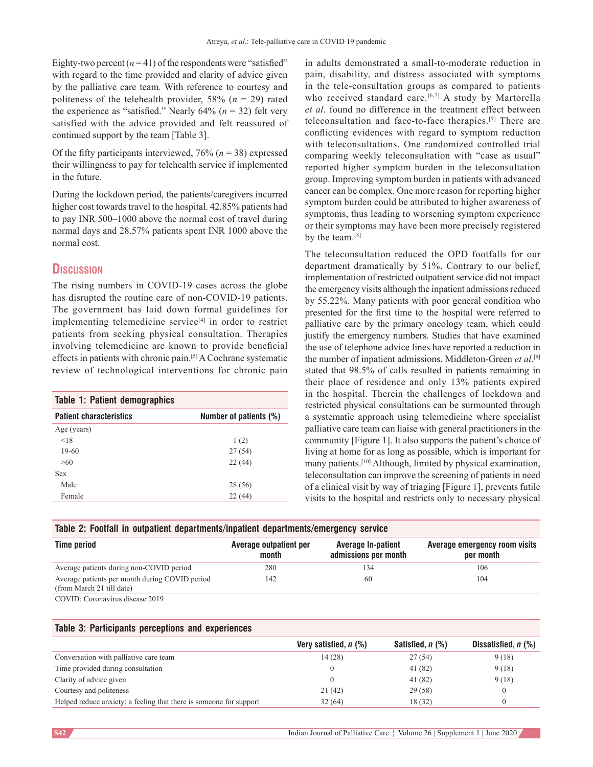Eighty-two percent  $(n=41)$  of the respondents were "satisfied" with regard to the time provided and clarity of advice given by the palliative care team. With reference to courtesy and politeness of the telehealth provider,  $58\%$  ( $n = 29$ ) rated the experience as "satisfied." Nearly  $64\%$  ( $n = 32$ ) felt very satisfied with the advice provided and felt reassured of continued support by the team [Table 3].

Of the fifty participants interviewed, 76% (*n* = 38) expressed their willingness to pay for telehealth service if implemented in the future.

During the lockdown period, the patients/caregivers incurred higher cost towards travel to the hospital. 42.85% patients had to pay INR 500–1000 above the normal cost of travel during normal days and 28.57% patients spent INR 1000 above the normal cost.

# **Discussion**

The rising numbers in COVID-19 cases across the globe has disrupted the routine care of non-COVID-19 patients. The government has laid down formal guidelines for implementing telemedicine service $[4]$  in order to restrict patients from seeking physical consultation. Therapies involving telemedicine are known to provide beneficial effects in patients with chronic pain.[5] A Cochrane systematic review of technological interventions for chronic pain

| <b>Table 1: Patient demographics</b> |                        |  |  |  |
|--------------------------------------|------------------------|--|--|--|
| <b>Patient characteristics</b>       | Number of patients (%) |  |  |  |
| Age (years)                          |                        |  |  |  |
| < 18                                 | 1(2)                   |  |  |  |
| $19-60$                              | 27(54)                 |  |  |  |
| >60                                  | 22(44)                 |  |  |  |
| <b>Sex</b>                           |                        |  |  |  |
| Male                                 | 28 (56)                |  |  |  |
| Female                               | 22(44)                 |  |  |  |

in adults demonstrated a small-to-moderate reduction in pain, disability, and distress associated with symptoms in the tele‑consultation groups as compared to patients who received standard care.<sup>[6,7]</sup> A study by Martorella *et al*. found no difference in the treatment effect between teleconsultation and face-to-face therapies.<sup>[7]</sup> There are conflicting evidences with regard to symptom reduction with teleconsultations. One randomized controlled trial comparing weekly teleconsultation with "case as usual" reported higher symptom burden in the teleconsultation group. Improving symptom burden in patients with advanced cancer can be complex. One more reason for reporting higher symptom burden could be attributed to higher awareness of symptoms, thus leading to worsening symptom experience or their symptoms may have been more precisely registered by the team.<sup>[8]</sup>

The teleconsultation reduced the OPD footfalls for our department dramatically by 51%. Contrary to our belief, implementation of restricted outpatient service did not impact the emergency visits although the inpatient admissions reduced by 55.22%. Many patients with poor general condition who presented for the first time to the hospital were referred to palliative care by the primary oncology team, which could justify the emergency numbers. Studies that have examined the use of telephone advice lines have reported a reduction in the number of inpatient admissions. Middleton‑Green *et al*. [9] stated that 98.5% of calls resulted in patients remaining in their place of residence and only 13% patients expired in the hospital. Therein the challenges of lockdown and restricted physical consultations can be surmounted through a systematic approach using telemedicine where specialist palliative care team can liaise with general practitioners in the community [Figure 1]. It also supports the patient's choice of living at home for as long as possible, which is important for many patients.[10] Although, limited by physical examination, teleconsultation can improve the screening of patients in need of a clinical visit by way of triaging [Figure 1], prevents futile visits to the hospital and restricts only to necessary physical

| Table 2: Footfall in outpatient departments/inpatient departments/emergency service |  |
|-------------------------------------------------------------------------------------|--|
|-------------------------------------------------------------------------------------|--|

| <b>Time period</b>                                                          | Average outpatient per<br>month | <b>Average In-patient</b><br>admissions per month | Average emergency room visits<br>per month |
|-----------------------------------------------------------------------------|---------------------------------|---------------------------------------------------|--------------------------------------------|
| Average patients during non-COVID period                                    | 280                             | 134                                               | 106                                        |
| Average patients per month during COVID period<br>(from March 21 till date) | 142                             | 60                                                | 104                                        |
| COVID: Coronavirus disease 2019                                             |                                 |                                                   |                                            |

#### **Table 3: Participants perceptions and experiences**

|                                                                    | Very satisfied, $n$ (%) | Satisfied, n (%) | Dissatisfied, $n$ (%) |
|--------------------------------------------------------------------|-------------------------|------------------|-----------------------|
| Conversation with palliative care team                             | 14(28)                  | 27(54)           | 9(18)                 |
| Time provided during consultation                                  |                         | 41 (82)          | 9(18)                 |
| Clarity of advice given                                            |                         | 41 (82)          | 9(18)                 |
| Courtesy and politeness                                            | 21(42)                  | 29(58)           |                       |
| Helped reduce anxiety; a feeling that there is someone for support | 32(64)                  | 18 (32)          |                       |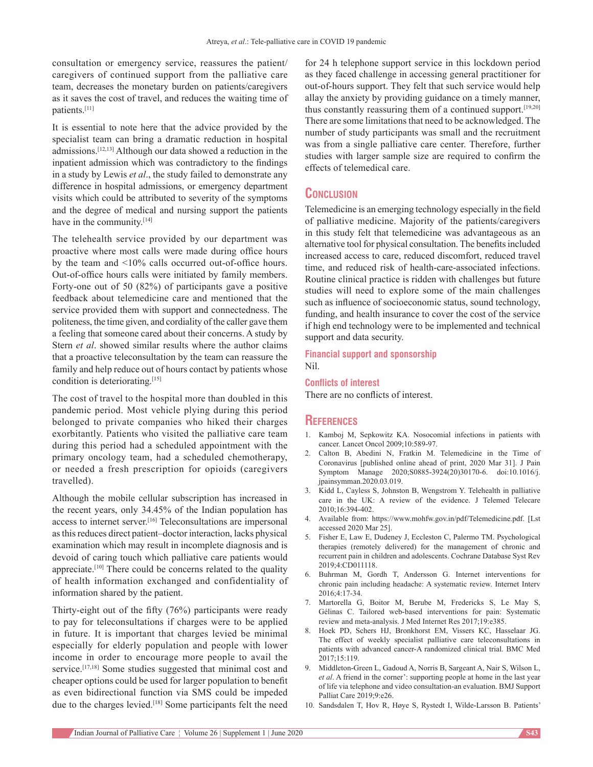consultation or emergency service, reassures the patient/ caregivers of continued support from the palliative care team, decreases the monetary burden on patients/caregivers as it saves the cost of travel, and reduces the waiting time of patients.[11]

It is essential to note here that the advice provided by the specialist team can bring a dramatic reduction in hospital admissions.[12,13] Although our data showed a reduction in the inpatient admission which was contradictory to the findings in a study by Lewis *et al*., the study failed to demonstrate any difference in hospital admissions, or emergency department visits which could be attributed to severity of the symptoms and the degree of medical and nursing support the patients have in the community.<sup>[14]</sup>

The telehealth service provided by our department was proactive where most calls were made during office hours by the team and <10% calls occurred out-of-office hours. Out-of-office hours calls were initiated by family members. Forty-one out of 50 (82%) of participants gave a positive feedback about telemedicine care and mentioned that the service provided them with support and connectedness. The politeness, the time given, and cordiality of the caller gave them a feeling that someone cared about their concerns. A study by Stern *et al*. showed similar results where the author claims that a proactive teleconsultation by the team can reassure the family and help reduce out of hours contact by patients whose condition is deteriorating.<sup>[15]</sup>

The cost of travel to the hospital more than doubled in this pandemic period. Most vehicle plying during this period belonged to private companies who hiked their charges exorbitantly. Patients who visited the palliative care team during this period had a scheduled appointment with the primary oncology team, had a scheduled chemotherapy, or needed a fresh prescription for opioids (caregivers travelled).

Although the mobile cellular subscription has increased in the recent years, only 34.45% of the Indian population has access to internet server.[16] Teleconsultations are impersonal as this reduces direct patient–doctor interaction, lacks physical examination which may result in incomplete diagnosis and is devoid of caring touch which palliative care patients would appreciate.<sup>[10]</sup> There could be concerns related to the quality of health information exchanged and confidentiality of information shared by the patient.

Thirty-eight out of the fifty (76%) participants were ready to pay for teleconsultations if charges were to be applied in future. It is important that charges levied be minimal especially for elderly population and people with lower income in order to encourage more people to avail the service.<sup>[17,18]</sup> Some studies suggested that minimal cost and cheaper options could be used for larger population to benefit as even bidirectional function via SMS could be impeded due to the charges levied.<sup>[18]</sup> Some participants felt the need

for 24 h telephone support service in this lockdown period as they faced challenge in accessing general practitioner for out‑of‑hours support. They felt that such service would help allay the anxiety by providing guidance on a timely manner, thus constantly reassuring them of a continued support.[19,20] There are some limitations that need to be acknowledged. The number of study participants was small and the recruitment was from a single palliative care center. Therefore, further studies with larger sample size are required to confirm the effects of telemedical care.

# **Conclusion**

Telemedicine is an emerging technology especially in the field of palliative medicine. Majority of the patients/caregivers in this study felt that telemedicine was advantageous as an alternative tool for physical consultation. The benefits included increased access to care, reduced discomfort, reduced travel time, and reduced risk of health-care-associated infections. Routine clinical practice is ridden with challenges but future studies will need to explore some of the main challenges such as influence of socioeconomic status, sound technology, funding, and health insurance to cover the cost of the service if high end technology were to be implemented and technical support and data security.

### **Financial support and sponsorship** Nil.

#### **Conflicts of interest**

There are no conflicts of interest.

## **References**

- 1. Kamboj M, Sepkowitz KA. Nosocomial infections in patients with cancer. Lancet Oncol 2009;10:589-97.
- 2. Calton B, Abedini N, Fratkin M. Telemedicine in the Time of Coronavirus [published online ahead of print, 2020 Mar 31]. J Pain Symptom Manage 2020;S0885-3924(20)30170-6. doi:10.1016/j. jpainsymman.2020.03.019.
- 3. Kidd L, Cayless S, Johnston B, Wengstrom Y. Telehealth in palliative care in the UK: A review of the evidence. J Telemed Telecare 2010;16:394‑402.
- 4. Available from: https://www.mohfw.gov.in/pdf/Telemedicine.pdf. [Lst accessed 2020 Mar 25].
- 5. Fisher E, Law E, Dudeney J, Eccleston C, Palermo TM. Psychological therapies (remotely delivered) for the management of chronic and recurrent pain in children and adolescents. Cochrane Database Syst Rev 2019;4:CD011118.
- 6. Buhrman M, Gordh T, Andersson G. Internet interventions for chronic pain including headache: A systematic review. Internet Interv 2016;4:17‑34.
- 7. Martorella G, Boitor M, Berube M, Fredericks S, Le May S, Gélinas C. Tailored web-based interventions for pain: Systematic review and meta‑analysis. J Med Internet Res 2017;19:e385.
- 8. Hoek PD, Schers HJ, Bronkhorst EM, Vissers KC, Hasselaar JG. The effect of weekly specialist palliative care teleconsultations in patients with advanced cancer‑A randomized clinical trial. BMC Med 2017;15:119.
- 9. Middleton‑Green L, Gadoud A, Norris B, Sargeant A, Nair S, Wilson L, *et al*. A friend in the corner': supporting people at home in the last year of life via telephone and video consultation‑an evaluation. BMJ Support Palliat Care 2019;9:e26.
- 10. Sandsdalen T, Hov R, Høye S, Rystedt I, Wilde-Larsson B. Patients'